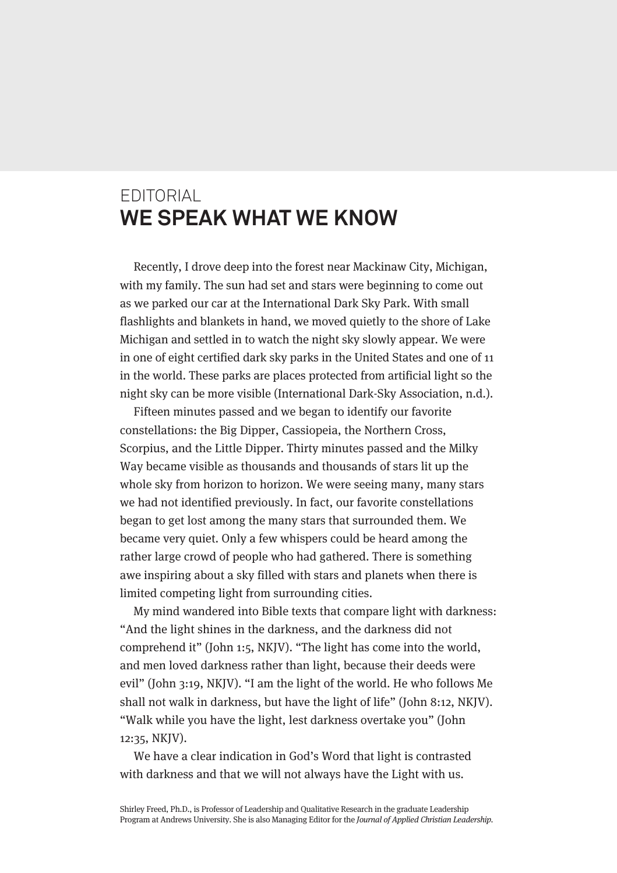## EDITORIAL **WE SPEAK WHAT WE KNOW**

Recently, I drove deep into the forest near Mackinaw City, Michigan, with my family. The sun had set and stars were beginning to come out as we parked our car at the International Dark Sky Park. With small flashlights and blankets in hand, we moved quietly to the shore of Lake Michigan and settled in to watch the night sky slowly appear. We were in one of eight certified dark sky parks in the United States and one of 11 in the world. These parks are places protected from artificial light so the night sky can be more visible (International Dark-Sky Association, n.d.).

Fifteen minutes passed and we began to identify our favorite constellations: the Big Dipper, Cassiopeia, the Northern Cross, Scorpius, and the Little Dipper. Thirty minutes passed and the Milky Way became visible as thousands and thousands of stars lit up the whole sky from horizon to horizon. We were seeing many, many stars we had not identified previously. In fact, our favorite constellations began to get lost among the many stars that surrounded them. We became very quiet. Only a few whispers could be heard among the rather large crowd of people who had gathered. There is something awe inspiring about a sky filled with stars and planets when there is limited competing light from surrounding cities.

My mind wandered into Bible texts that compare light with darkness: "And the light shines in the darkness, and the darkness did not comprehend it" (John 1:5, NKJV). "The light has come into the world, and men loved darkness rather than light, because their deeds were evil" (John 3:19, NKJV). "I am the light of the world. He who follows Me shall not walk in darkness, but have the light of life" (John 8:12, NKJV). "Walk while you have the light, lest darkness overtake you" (John 12:35, NKJV).

We have a clear indication in God's Word that light is contrasted with darkness and that we will not always have the Light with us.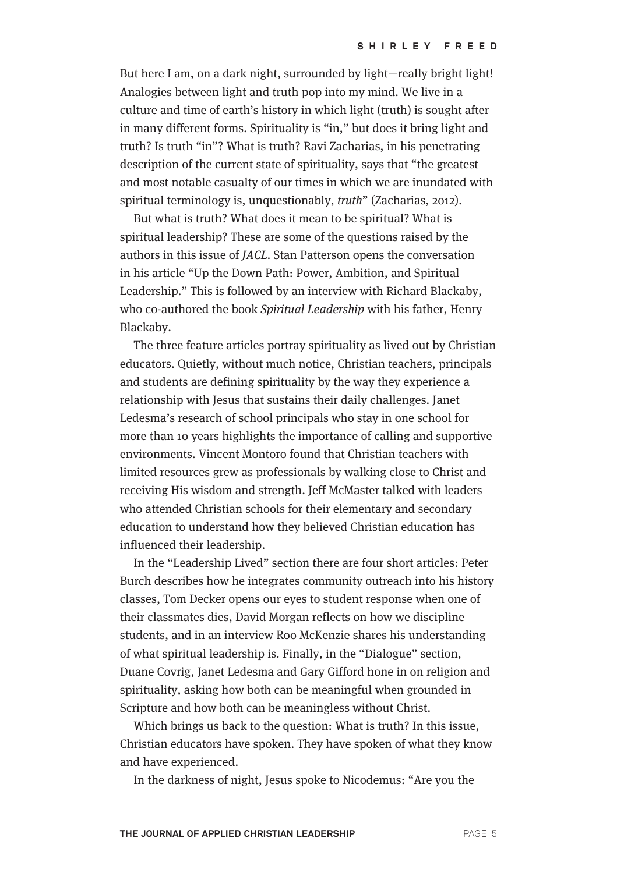But here I am, on a dark night, surrounded by light—really bright light! Analogies between light and truth pop into my mind. We live in a culture and time of earth's history in which light (truth) is sought after in many different forms. Spirituality is "in," but does it bring light and truth? Is truth "in"? What is truth? Ravi Zacharias, in his penetrating description of the current state of spirituality, says that "the greatest and most notable casualty of our times in which we are inundated with spiritual terminology is, unquestionably, truth" (Zacharias, 2012).

But what is truth? What does it mean to be spiritual? What is spiritual leadership? These are some of the questions raised by the authors in this issue of JACL. Stan Patterson opens the conversation in his article "Up the Down Path: Power, Ambition, and Spiritual Leadership." This is followed by an interview with Richard Blackaby, who co-authored the book Spiritual Leadership with his father, Henry Blackaby.

The three feature articles portray spirituality as lived out by Christian educators. Quietly, without much notice, Christian teachers, principals and students are defining spirituality by the way they experience a relationship with Jesus that sustains their daily challenges. Janet Ledesma's research of school principals who stay in one school for more than 10 years highlights the importance of calling and supportive environments. Vincent Montoro found that Christian teachers with limited resources grew as professionals by walking close to Christ and receiving His wisdom and strength. Jeff McMaster talked with leaders who attended Christian schools for their elementary and secondary education to understand how they believed Christian education has influenced their leadership.

In the "Leadership Lived" section there are four short articles: Peter Burch describes how he integrates community outreach into his history classes, Tom Decker opens our eyes to student response when one of their classmates dies, David Morgan reflects on how we discipline students, and in an interview Roo McKenzie shares his understanding of what spiritual leadership is. Finally, in the "Dialogue" section, Duane Covrig, Janet Ledesma and Gary Gifford hone in on religion and spirituality, asking how both can be meaningful when grounded in Scripture and how both can be meaningless without Christ.

Which brings us back to the question: What is truth? In this issue, Christian educators have spoken. They have spoken of what they know and have experienced.

In the darkness of night, Jesus spoke to Nicodemus: "Are you the